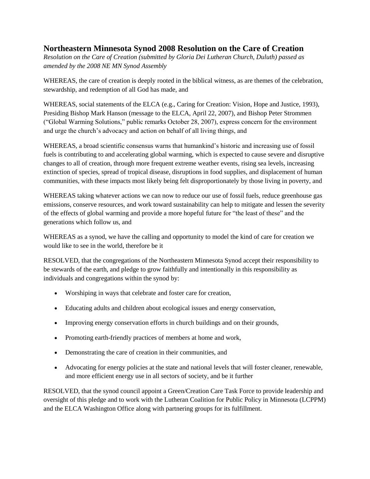### **Northeastern Minnesota Synod 2008 Resolution on the Care of Creation**

*Resolution on the Care of Creation (submitted by Gloria Dei Lutheran Church, Duluth) passed as amended by the 2008 NE MN Synod Assembly*

WHEREAS, the care of creation is deeply rooted in the biblical witness, as are themes of the celebration, stewardship, and redemption of all God has made, and

WHEREAS, social statements of the ELCA (e.g., Caring for Creation: Vision, Hope and Justice, 1993), Presiding Bishop Mark Hanson (message to the ELCA, April 22, 2007), and Bishop Peter Strommen ("Global Warming Solutions," public remarks October 28, 2007), express concern for the environment and urge the church's advocacy and action on behalf of all living things, and

WHEREAS, a broad scientific consensus warns that humankind's historic and increasing use of fossil fuels is contributing to and accelerating global warming, which is expected to cause severe and disruptive changes to all of creation, through more frequent extreme weather events, rising sea levels, increasing extinction of species, spread of tropical disease, disruptions in food supplies, and displacement of human communities, with these impacts most likely being felt disproportionately by those living in poverty, and

WHEREAS taking whatever actions we can now to reduce our use of fossil fuels, reduce greenhouse gas emissions, conserve resources, and work toward sustainability can help to mitigate and lessen the severity of the effects of global warming and provide a more hopeful future for "the least of these" and the generations which follow us, and

WHEREAS as a synod, we have the calling and opportunity to model the kind of care for creation we would like to see in the world, therefore be it

RESOLVED, that the congregations of the Northeastern Minnesota Synod accept their responsibility to be stewards of the earth, and pledge to grow faithfully and intentionally in this responsibility as individuals and congregations within the synod by:

- Worshiping in ways that celebrate and foster care for creation,
- Educating adults and children about ecological issues and energy conservation,
- Improving energy conservation efforts in church buildings and on their grounds,
- Promoting earth-friendly practices of members at home and work,
- Demonstrating the care of creation in their communities, and
- Advocating for energy policies at the state and national levels that will foster cleaner, renewable, and more efficient energy use in all sectors of society, and be it further

RESOLVED, that the synod council appoint a Green/Creation Care Task Force to provide leadership and oversight of this pledge and to work with the Lutheran Coalition for Public Policy in Minnesota (LCPPM) and the ELCA Washington Office along with partnering groups for its fulfillment.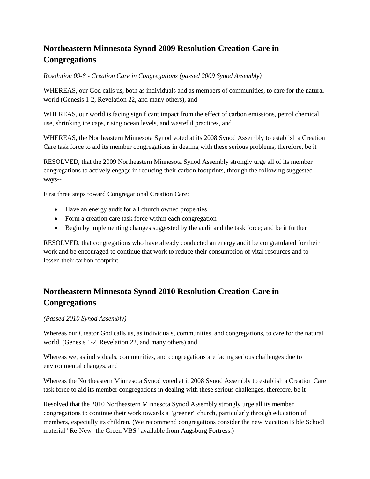# **Northeastern Minnesota Synod 2009 Resolution Creation Care in Congregations**

*Resolution 09-8 - Creation Care in Congregations (passed 2009 Synod Assembly)*

WHEREAS, our God calls us, both as individuals and as members of communities, to care for the natural world (Genesis 1-2, Revelation 22, and many others), and

WHEREAS, our world is facing significant impact from the effect of carbon emissions, petrol chemical use, shrinking ice caps, rising ocean levels, and wasteful practices, and

WHEREAS, the Northeastern Minnesota Synod voted at its 2008 Synod Assembly to establish a Creation Care task force to aid its member congregations in dealing with these serious problems, therefore, be it

RESOLVED, that the 2009 Northeastern Minnesota Synod Assembly strongly urge all of its member congregations to actively engage in reducing their carbon footprints, through the following suggested ways--

First three steps toward Congregational Creation Care:

- Have an energy audit for all church owned properties
- Form a creation care task force within each congregation
- Begin by implementing changes suggested by the audit and the task force; and be it further

RESOLVED, that congregations who have already conducted an energy audit be congratulated for their work and be encouraged to continue that work to reduce their consumption of vital resources and to lessen their carbon footprint.

## **Northeastern Minnesota Synod 2010 Resolution Creation Care in Congregations**

#### *(Passed 2010 Synod Assembly)*

Whereas our Creator God calls us, as individuals, communities, and congregations, to care for the natural world, (Genesis 1-2, Revelation 22, and many others) and

Whereas we, as individuals, communities, and congregations are facing serious challenges due to environmental changes, and

Whereas the Northeastern Minnesota Synod voted at it 2008 Synod Assembly to establish a Creation Care task force to aid its member congregations in dealing with these serious challenges, therefore, be it

Resolved that the 2010 Northeastern Minnesota Synod Assembly strongly urge all its member congregations to continue their work towards a "greener" church, particularly through education of members, especially its children. (We recommend congregations consider the new Vacation Bible School material "Re-New- the Green VBS" available from Augsburg Fortress.)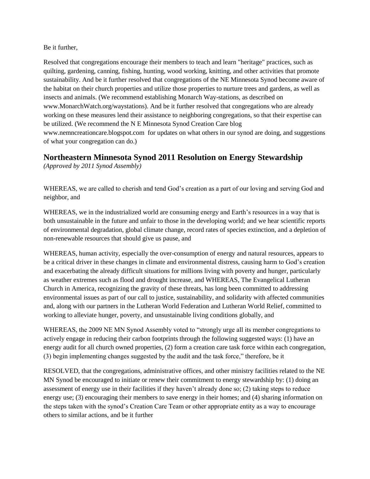#### Be it further,

Resolved that congregations encourage their members to teach and learn "heritage" practices, such as quilting, gardening, canning, fishing, hunting, wood working, knitting, and other activities that promote sustainability. And be it further resolved that congregations of the NE Minnesota Synod become aware of the habitat on their church properties and utilize those properties to nurture trees and gardens, as well as insects and animals. (We recommend establishing Monarch Way-stations, as described on www.MonarchWatch.org/waystations). And be it further resolved that congregations who are already working on these measures lend their assistance to neighboring congregations, so that their expertise can be utilized. (We recommend the N E Minnesota Synod Creation Care blog www.nemncreationcare.blogspot.com for updates on what others in our synod are doing, and suggestions of what your congregation can do.)

## **Northeastern Minnesota Synod 2011 Resolution on Energy Stewardship**

*(Approved by 2011 Synod Assembly)*

WHEREAS, we are called to cherish and tend God's creation as a part of our loving and serving God and neighbor, and

WHEREAS, we in the industrialized world are consuming energy and Earth's resources in a way that is both unsustainable in the future and unfair to those in the developing world; and we hear scientific reports of environmental degradation, global climate change, record rates of species extinction, and a depletion of non-renewable resources that should give us pause, and

WHEREAS, human activity, especially the over-consumption of energy and natural resources, appears to be a critical driver in these changes in climate and environmental distress, causing harm to God's creation and exacerbating the already difficult situations for millions living with poverty and hunger, particularly as weather extremes such as flood and drought increase, and WHEREAS, The Evangelical Lutheran Church in America, recognizing the gravity of these threats, has long been committed to addressing environmental issues as part of our call to justice, sustainability, and solidarity with affected communities and, along with our partners in the Lutheran World Federation and Lutheran World Relief, committed to working to alleviate hunger, poverty, and unsustainable living conditions globally, and

WHEREAS, the 2009 NE MN Synod Assembly voted to "strongly urge all its member congregations to actively engage in reducing their carbon footprints through the following suggested ways: (1) have an energy audit for all church owned properties, (2) form a creation care task force within each congregation, (3) begin implementing changes suggested by the audit and the task force," therefore, be it

RESOLVED, that the congregations, administrative offices, and other ministry facilities related to the NE MN Synod be encouraged to initiate or renew their commitment to energy stewardship by: (1) doing an assessment of energy use in their facilities if they haven't already done so; (2) taking steps to reduce energy use; (3) encouraging their members to save energy in their homes; and (4) sharing information on the steps taken with the synod's Creation Care Team or other appropriate entity as a way to encourage others to similar actions, and be it further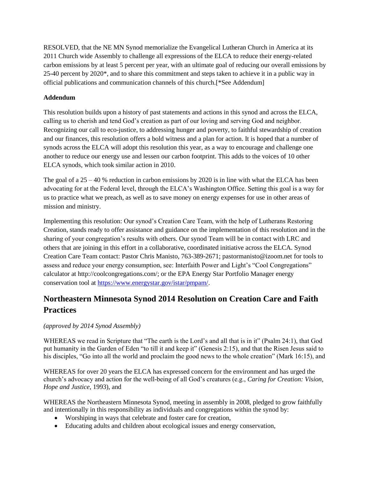RESOLVED, that the NE MN Synod memorialize the Evangelical Lutheran Church in America at its 2011 Church wide Assembly to challenge all expressions of the ELCA to reduce their energy-related carbon emissions by at least 5 percent per year, with an ultimate goal of reducing our overall emissions by 25-40 percent by 2020\*, and to share this commitment and steps taken to achieve it in a public way in official publications and communication channels of this church.[\*See Addendum]

### **Addendum**

This resolution builds upon a history of past statements and actions in this synod and across the ELCA, calling us to cherish and tend God's creation as part of our loving and serving God and neighbor. Recognizing our call to eco-justice, to addressing hunger and poverty, to faithful stewardship of creation and our finances, this resolution offers a bold witness and a plan for action. It is hoped that a number of synods across the ELCA will adopt this resolution this year, as a way to encourage and challenge one another to reduce our energy use and lessen our carbon footprint. This adds to the voices of 10 other ELCA synods, which took similar action in 2010.

The goal of a  $25 - 40$  % reduction in carbon emissions by 2020 is in line with what the ELCA has been advocating for at the Federal level, through the ELCA's Washington Office. Setting this goal is a way for us to practice what we preach, as well as to save money on energy expenses for use in other areas of mission and ministry.

Implementing this resolution: Our synod's Creation Care Team, with the help of Lutherans Restoring Creation, stands ready to offer assistance and guidance on the implementation of this resolution and in the sharing of your congregation's results with others. Our synod Team will be in contact with LRC and others that are joining in this effort in a collaborative, coordinated initiative across the ELCA. Synod Creation Care Team contact: Pastor Chris Manisto, 763-389-2671; pastormanisto@izoom.net for tools to assess and reduce your energy consumption, see: Interfaith Power and Light's "Cool Congregations" calculator at http://coolcongregations.com/; or the EPA Energy Star Portfolio Manager energy conservation tool at [https://www.energystar.gov/istar/pmpam/.](https://www.energystar.gov/istar/pmpam/)

# **Northeastern Minnesota Synod 2014 Resolution on Creation Care and Faith Practices**

#### *(approved by 2014 Synod Assembly)*

WHEREAS we read in Scripture that "The earth is the Lord's and all that is in it" (Psalm 24:1), that God put humanity in the Garden of Eden "to till it and keep it" (Genesis 2:15), and that the Risen Jesus said to his disciples, "Go into all the world and proclaim the good news to the whole creation" (Mark 16:15), and

WHEREAS for over 20 years the ELCA has expressed concern for the environment and has urged the church's advocacy and action for the well-being of all God's creatures (e.g., *Caring for Creation: Vision, Hope and Justice*, 1993), and

WHEREAS the Northeastern Minnesota Synod, meeting in assembly in 2008, pledged to grow faithfully and intentionally in this responsibility as individuals and congregations within the synod by:

- Worshiping in ways that celebrate and foster care for creation,
- Educating adults and children about ecological issues and energy conservation,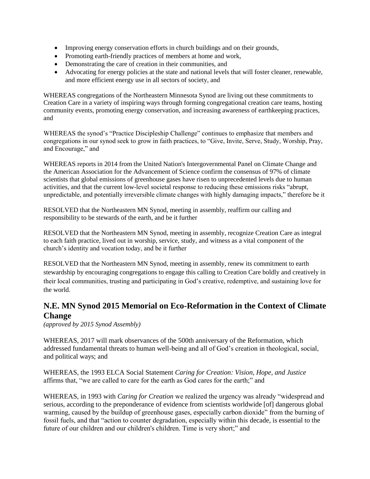- Improving energy conservation efforts in church buildings and on their grounds,
- Promoting earth-friendly practices of members at home and work,
- Demonstrating the care of creation in their communities, and
- Advocating for energy policies at the state and national levels that will foster cleaner, renewable, and more efficient energy use in all sectors of society, and

WHEREAS congregations of the Northeastern Minnesota Synod are living out these commitments to Creation Care in a variety of inspiring ways through forming congregational creation care teams, hosting community events, promoting energy conservation, and increasing awareness of earthkeeping practices, and

WHEREAS the synod's "Practice Discipleship Challenge" continues to emphasize that members and congregations in our synod seek to grow in faith practices, to "Give, Invite, Serve, Study, Worship, Pray, and Encourage," and

WHEREAS reports in 2014 from the United Nation's Intergovernmental Panel on Climate Change and the American Association for the Advancement of Science confirm the consensus of 97% of climate scientists that global emissions of greenhouse gases have risen to unprecedented levels due to human activities, and that the current low-level societal response to reducing these emissions risks "abrupt, unpredictable, and potentially irreversible climate changes with highly damaging impacts," therefore be it

RESOLVED that the Northeastern MN Synod, meeting in assembly, reaffirm our calling and responsibility to be stewards of the earth, and be it further

RESOLVED that the Northeastern MN Synod, meeting in assembly, recognize Creation Care as integral to each faith practice, lived out in worship, service, study, and witness as a vital component of the church's identity and vocation today, and be it further

RESOLVED that the Northeastern MN Synod, meeting in assembly, renew its commitment to earth stewardship by encouraging congregations to engage this calling to Creation Care boldly and creatively in their local communities, trusting and participating in God's creative, redemptive, and sustaining love for the world.

## **N.E. MN Synod 2015 Memorial on Eco-Reformation in the Context of Climate Change**

*(approved by 2015 Synod Assembly)*

WHEREAS, 2017 will mark observances of the 500th anniversary of the Reformation, which addressed fundamental threats to human well-being and all of God's creation in theological, social, and political ways; and

WHEREAS, the 1993 ELCA Social Statement *Caring for Creation: Vision, Hope, and Justice*  affirms that, "we are called to care for the earth as God cares for the earth;" and

WHEREAS, in 1993 with *Caring for Creation* we realized the urgency was already "widespread and serious, according to the preponderance of evidence from scientists worldwide [of] dangerous global warming, caused by the buildup of greenhouse gases, especially carbon dioxide" from the burning of fossil fuels, and that "action to counter degradation, especially within this decade, is essential to the future of our children and our children's children. Time is very short;" and